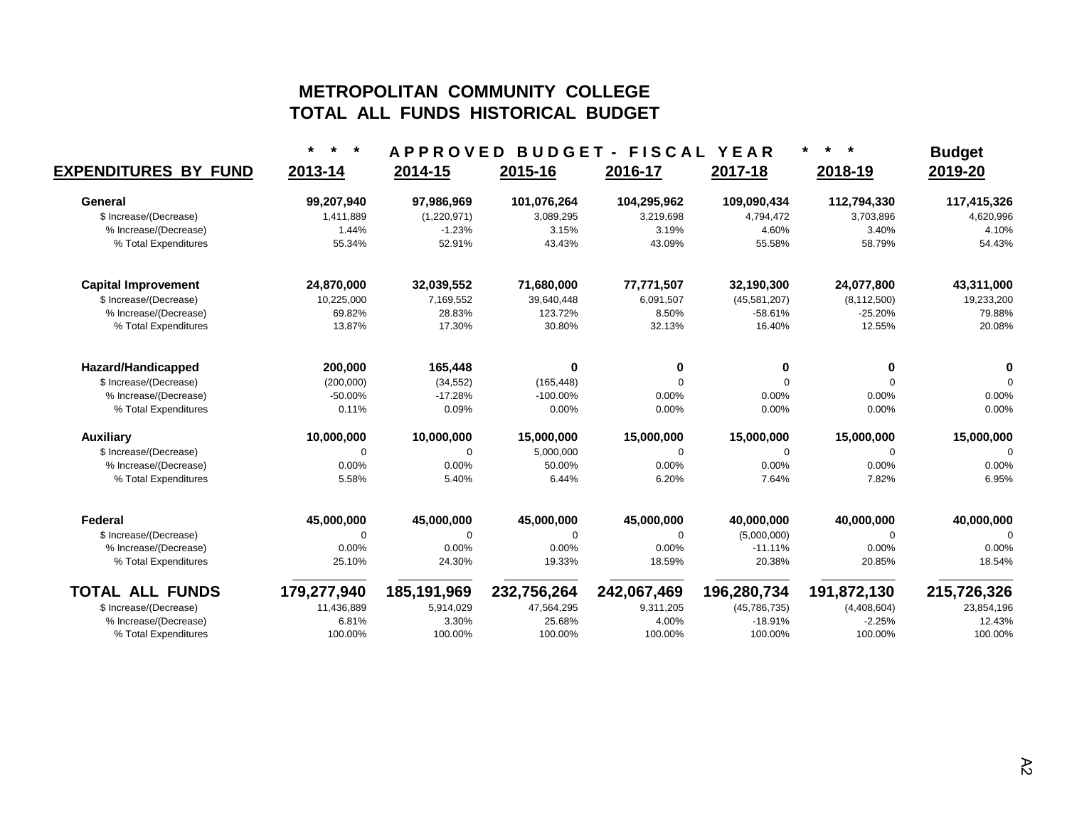## **METROPOLITAN COMMUNITY COLLEGE TOTAL ALL FUNDS HISTORICAL BUDGET**

|                             |             | <b>APPROVED</b> |             | <b>BUDGET - FISCAL</b> | YEAR           | $\star$<br>$\star$ | <b>Budget</b> |
|-----------------------------|-------------|-----------------|-------------|------------------------|----------------|--------------------|---------------|
| <b>EXPENDITURES BY FUND</b> | 2013-14     | 2014-15         | 2015-16     | 2016-17                | 2017-18        | 2018-19            | 2019-20       |
| General                     | 99,207,940  | 97,986,969      | 101,076,264 | 104,295,962            | 109,090,434    | 112,794,330        | 117,415,326   |
| \$ Increase/(Decrease)      | 1,411,889   | (1,220,971)     | 3,089,295   | 3,219,698              | 4,794,472      | 3,703,896          | 4,620,996     |
| % Increase/(Decrease)       | 1.44%       | $-1.23%$        | 3.15%       | 3.19%                  | 4.60%          | 3.40%              | 4.10%         |
| % Total Expenditures        | 55.34%      | 52.91%          | 43.43%      | 43.09%                 | 55.58%         | 58.79%             | 54.43%        |
| <b>Capital Improvement</b>  | 24,870,000  | 32,039,552      | 71,680,000  | 77,771,507             | 32,190,300     | 24,077,800         | 43,311,000    |
| \$ Increase/(Decrease)      | 10,225,000  | 7,169,552       | 39,640,448  | 6,091,507              | (45,581,207)   | (8, 112, 500)      | 19,233,200    |
| % Increase/(Decrease)       | 69.82%      | 28.83%          | 123.72%     | 8.50%                  | $-58.61%$      | $-25.20%$          | 79.88%        |
| % Total Expenditures        | 13.87%      | 17.30%          | 30.80%      | 32.13%                 | 16.40%         | 12.55%             | 20.08%        |
| Hazard/Handicapped          | 200,000     | 165,448         | $\bf{0}$    | 0                      | 0              | 0                  |               |
| \$ Increase/(Decrease)      | (200,000)   | (34, 552)       | (165, 448)  | $\Omega$               | $\Omega$       | $\Omega$           | $\Omega$      |
| % Increase/(Decrease)       | $-50.00%$   | $-17.28%$       | $-100.00\%$ | 0.00%                  | 0.00%          | 0.00%              | 0.00%         |
| % Total Expenditures        | 0.11%       | 0.09%           | 0.00%       | 0.00%                  | 0.00%          | 0.00%              | 0.00%         |
| <b>Auxiliary</b>            | 10,000,000  | 10,000,000      | 15,000,000  | 15,000,000             | 15,000,000     | 15,000,000         | 15,000,000    |
| \$ Increase/(Decrease)      | 0           | 0               | 5,000,000   | $\Omega$               | $\Omega$       | $\Omega$           | $\mathbf 0$   |
| % Increase/(Decrease)       | 0.00%       | 0.00%           | 50.00%      | 0.00%                  | 0.00%          | 0.00%              | 0.00%         |
| % Total Expenditures        | 5.58%       | 5.40%           | 6.44%       | 6.20%                  | 7.64%          | 7.82%              | 6.95%         |
| Federal                     | 45,000,000  | 45,000,000      | 45,000,000  | 45,000,000             | 40,000,000     | 40,000,000         | 40,000,000    |
| \$ Increase/(Decrease)      | $\Omega$    | $\Omega$        | $\Omega$    | $\Omega$               | (5,000,000)    | $\Omega$           | $\Omega$      |
| % Increase/(Decrease)       | 0.00%       | 0.00%           | 0.00%       | 0.00%                  | $-11.11%$      | 0.00%              | 0.00%         |
| % Total Expenditures        | 25.10%      | 24.30%          | 19.33%      | 18.59%                 | 20.38%         | 20.85%             | 18.54%        |
| <b>TOTAL ALL FUNDS</b>      | 179,277,940 | 185,191,969     | 232,756,264 | 242,067,469            | 196,280,734    | 191,872,130        | 215,726,326   |
| \$ Increase/(Decrease)      | 11,436,889  | 5,914,029       | 47,564,295  | 9,311,205              | (45, 786, 735) | (4,408,604)        | 23,854,196    |
| % Increase/(Decrease)       | 6.81%       | 3.30%           | 25.68%      | 4.00%                  | $-18.91%$      | $-2.25%$           | 12.43%        |
| % Total Expenditures        | 100.00%     | 100.00%         | 100.00%     | 100.00%                | 100.00%        | 100.00%            | 100.00%       |
|                             |             |                 |             |                        |                |                    |               |